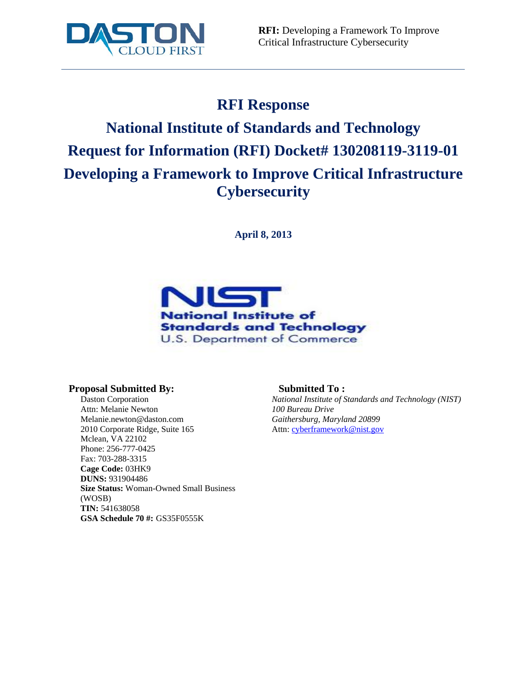

**RFI:** Developing a Framework To Improve Critical Infrastructure Cybersecurity

## **RFI Response**

# **National Institute of Standards and Technology Request for Information (RFI) Docket# 130208119-3119-01 Developing a Framework to Improve Critical Infrastructure Cybersecurity**

**April 8, 2013**



#### **Proposal Submitted By:**

Daston Corporation Attn: Melanie Newton Melanie.newton@daston.com 2010 Corporate Ridge, Suite 165 Mclean, VA 22102 Phone: 256-777-0425 Fax: 703-288-3315 **Cage Code:** 03HK9 **DUNS:** 931904486 **Size Status:** Woman-Owned Small Business (WOSB) **TIN:** 541638058 **GSA Schedule 70 #:** GS35F0555K

**Submitted To :**

*National Institute of Standards and Technology (NIST) 100 Bureau Drive Gaithersburg, Maryland 20899* Attn: [cyberframework@nist.gov](mailto:cyberframework@nist.gov)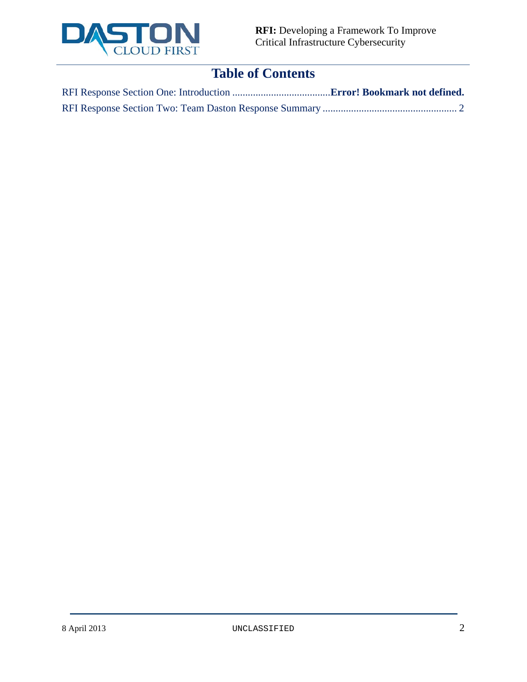

# **Table of Contents**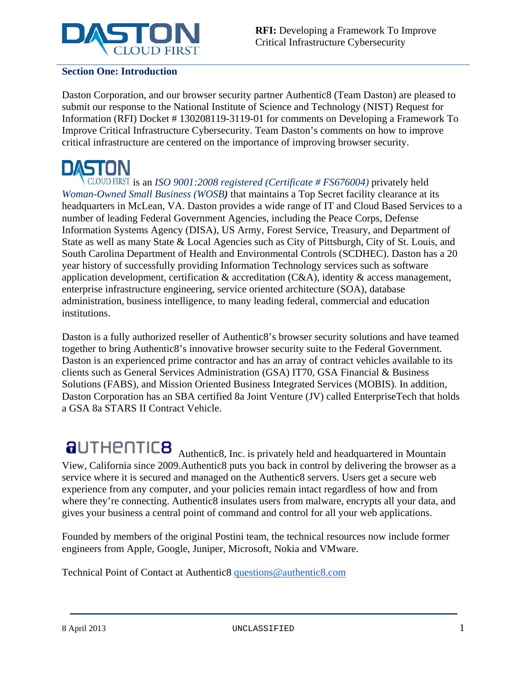

### **Section One: Introduction**

Daston Corporation, and our browser security partner Authentic8 (Team Daston) are pleased to submit our response to the National Institute of Science and Technology (NIST) Request for Information (RFI) Docket # 130208119-3119-01 for comments on Developing a Framework To Improve Critical Infrastructure Cybersecurity. Team Daston's comments on how to improve critical infrastructure are centered on the importance of improving browser security.

is an *ISO 9001:2008 registered (Certificate # FS676004)* privately held *Woman-Owned Small Business (WOSB)* that maintains a Top Secret facility clearance at its headquarters in McLean, VA. Daston provides a wide range of IT and Cloud Based Services to a number of leading Federal Government Agencies, including the Peace Corps, Defense Information Systems Agency (DISA), US Army, Forest Service, Treasury, and Department of State as well as many State & Local Agencies such as City of Pittsburgh, City of St. Louis, and South Carolina Department of Health and Environmental Controls (SCDHEC). Daston has a 20 year history of successfully providing Information Technology services such as software application development, certification  $\&$  accreditation (C $\&$ A), identity  $\&$  access management, enterprise infrastructure engineering, service oriented architecture (SOA), database administration, business intelligence, to many leading federal, commercial and education institutions.

Daston is a fully authorized reseller of Authentic8's browser security solutions and have teamed together to bring Authentic8's innovative browser security suite to the Federal Government. Daston is an experienced prime contractor and has an array of contract vehicles available to its clients such as General Services Administration (GSA) IT70, GSA Financial & Business Solutions (FABS), and Mission Oriented Business Integrated Services (MOBIS). In addition, Daston Corporation has an SBA certified 8a Joint Venture (JV) called EnterpriseTech that holds a GSA 8a STARS II Contract Vehicle.

**aUTHENTICB** Authentic8, Inc. is privately held and headquartered in Mountain View, California since 2009.Authentic8 puts you back in control by delivering the browser as a service where it is secured and managed on the Authentic8 servers. Users get a secure web experience from any computer, and your policies remain intact regardless of how and from where they're connecting. Authentic8 insulates users from malware, encrypts all your data, and gives your business a central point of command and control for all your web applications.

Founded by members of the original Postini team, the technical resources now include former engineers from Apple, Google, Juniper, Microsoft, Nokia and VMware.

Technical Point of Contact at Authentic8 [questions@authentic8.com](mailto:questions@authentic8.com)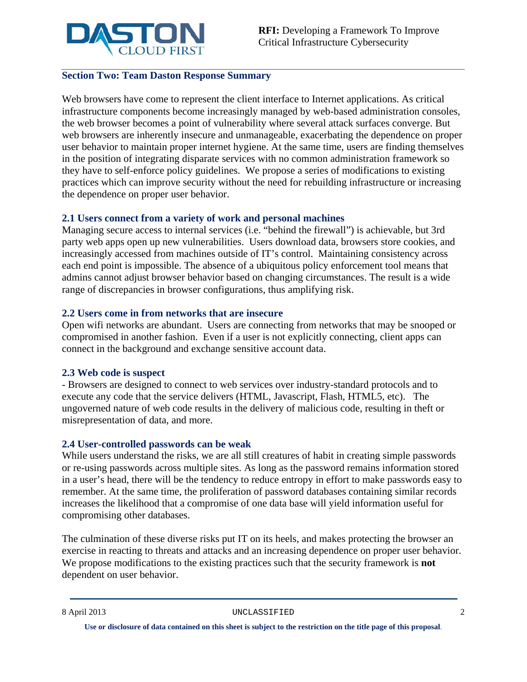

#### **Section Two: Team Daston Response Summary**

Web browsers have come to represent the client interface to Internet applications. As critical infrastructure components become increasingly managed by web-based administration consoles, the web browser becomes a point of vulnerability where several attack surfaces converge. But web browsers are inherently insecure and unmanageable, exacerbating the dependence on proper user behavior to maintain proper internet hygiene. At the same time, users are finding themselves in the position of integrating disparate services with no common administration framework so they have to self-enforce policy guidelines. We propose a series of modifications to existing practices which can improve security without the need for rebuilding infrastructure or increasing the dependence on proper user behavior.

#### **2.1 Users connect from a variety of work and personal machines**

Managing secure access to internal services (i.e. "behind the firewall") is achievable, but 3rd party web apps open up new vulnerabilities. Users download data, browsers store cookies, and increasingly accessed from machines outside of IT's control. Maintaining consistency across each end point is impossible. The absence of a ubiquitous policy enforcement tool means that admins cannot adjust browser behavior based on changing circumstances. The result is a wide range of discrepancies in browser configurations, thus amplifying risk.

#### **2.2 Users come in from networks that are insecure**

Open wifi networks are abundant. Users are connecting from networks that may be snooped or compromised in another fashion. Even if a user is not explicitly connecting, client apps can connect in the background and exchange sensitive account data.

#### **2.3 Web code is suspect**

- Browsers are designed to connect to web services over industry-standard protocols and to execute any code that the service delivers (HTML, Javascript, Flash, HTML5, etc). The ungoverned nature of web code results in the delivery of malicious code, resulting in theft or misrepresentation of data, and more.

#### **2.4 User-controlled passwords can be weak**

While users understand the risks, we are all still creatures of habit in creating simple passwords or re-using passwords across multiple sites. As long as the password remains information stored in a user's head, there will be the tendency to reduce entropy in effort to make passwords easy to remember. At the same time, the proliferation of password databases containing similar records increases the likelihood that a compromise of one data base will yield information useful for compromising other databases.

The culmination of these diverse risks put IT on its heels, and makes protecting the browser an exercise in reacting to threats and attacks and an increasing dependence on proper user behavior. We propose modifications to the existing practices such that the security framework is **not** dependent on user behavior.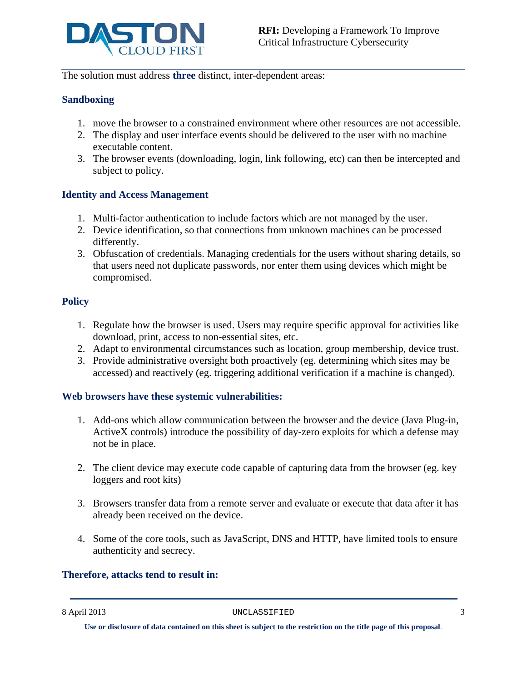

The solution must address **three** distinct, inter-dependent areas:

#### **Sandboxing**

- 1. move the browser to a constrained environment where other resources are not accessible.
- 2. The display and user interface events should be delivered to the user with no machine executable content.
- 3. The browser events (downloading, login, link following, etc) can then be intercepted and subject to policy.

### **Identity and Access Management**

- 1. Multi-factor authentication to include factors which are not managed by the user.
- 2. Device identification, so that connections from unknown machines can be processed differently.
- 3. Obfuscation of credentials. Managing credentials for the users without sharing details, so that users need not duplicate passwords, nor enter them using devices which might be compromised.

#### **Policy**

- 1. Regulate how the browser is used. Users may require specific approval for activities like download, print, access to non-essential sites, etc.
- 2. Adapt to environmental circumstances such as location, group membership, device trust.
- 3. Provide administrative oversight both proactively (eg. determining which sites may be accessed) and reactively (eg. triggering additional verification if a machine is changed).

#### **Web browsers have these systemic vulnerabilities:**

- 1. Add-ons which allow communication between the browser and the device (Java Plug-in, ActiveX controls) introduce the possibility of day-zero exploits for which a defense may not be in place.
- 2. The client device may execute code capable of capturing data from the browser (eg. key loggers and root kits)
- 3. Browsers transfer data from a remote server and evaluate or execute that data after it has already been received on the device.
- 4. Some of the core tools, such as JavaScript, DNS and HTTP, have limited tools to ensure authenticity and secrecy.

#### **Therefore, attacks tend to result in:**

8 April 2013 UNCLASSIFIED 3

**Use or disclosure of data contained on this sheet is subject to the restriction on the title page of this proposal**.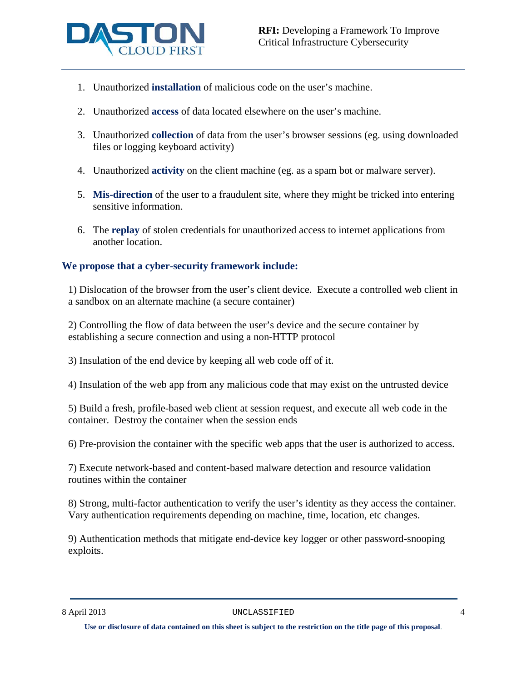

- 1. Unauthorized **installation** of malicious code on the user's machine.
- 2. Unauthorized **access** of data located elsewhere on the user's machine.
- 3. Unauthorized **collection** of data from the user's browser sessions (eg. using downloaded files or logging keyboard activity)
- 4. Unauthorized **activity** on the client machine (eg. as a spam bot or malware server).
- 5. **Mis-direction** of the user to a fraudulent site, where they might be tricked into entering sensitive information.
- 6. The **replay** of stolen credentials for unauthorized access to internet applications from another location.

#### **We propose that a cyber-security framework include:**

1) Dislocation of the browser from the user's client device. Execute a controlled web client in a sandbox on an alternate machine (a secure container)

2) Controlling the flow of data between the user's device and the secure container by establishing a secure connection and using a non-HTTP protocol

3) Insulation of the end device by keeping all web code off of it.

4) Insulation of the web app from any malicious code that may exist on the untrusted device

5) Build a fresh, profile-based web client at session request, and execute all web code in the container. Destroy the container when the session ends

6) Pre-provision the container with the specific web apps that the user is authorized to access.

7) Execute network-based and content-based malware detection and resource validation routines within the container

8) Strong, multi-factor authentication to verify the user's identity as they access the container. Vary authentication requirements depending on machine, time, location, etc changes.

9) Authentication methods that mitigate end-device key logger or other password-snooping exploits.